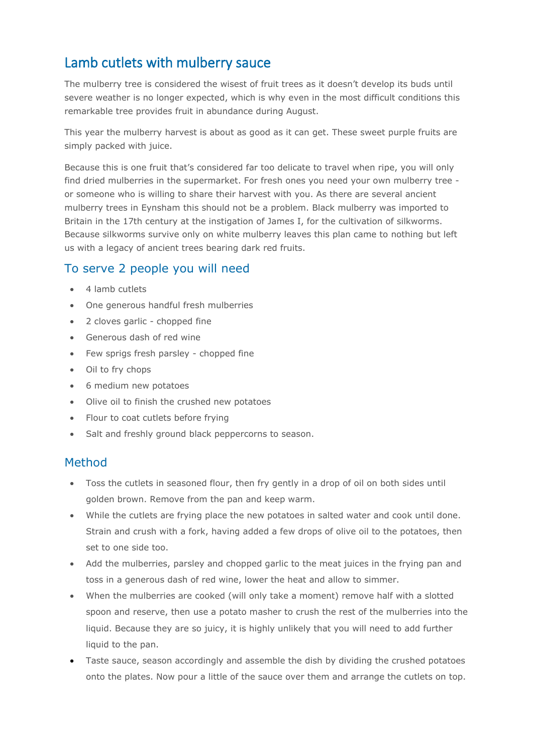## Lamb cutlets with mulberry sauce

The mulberry tree is considered the wisest of fruit trees as it doesn't develop its buds until severe weather is no longer expected, which is why even in the most difficult conditions this remarkable tree provides fruit in abundance during August.

This year the mulberry harvest is about as good as it can get. These sweet purple fruits are simply packed with juice.

Because this is one fruit that's considered far too delicate to travel when ripe, you will only find dried mulberries in the supermarket. For fresh ones you need your own mulberry tree or someone who is willing to share their harvest with you. As there are several ancient mulberry trees in Eynsham this should not be a problem. Black mulberry was imported to Britain in the 17th century at the instigation of James I, for the cultivation of silkworms. Because silkworms survive only on white mulberry leaves this plan came to nothing but left us with a legacy of ancient trees bearing dark red fruits.

## To serve 2 people you will need

- 4 lamb cutlets
- One generous handful fresh mulberries
- 2 cloves garlic chopped fine
- Generous dash of red wine
- Few sprigs fresh parsley chopped fine
- Oil to fry chops
- 6 medium new potatoes
- Olive oil to finish the crushed new potatoes
- Flour to coat cutlets before frying
- Salt and freshly ground black peppercorns to season.

## Method

- Toss the cutlets in seasoned flour, then fry gently in a drop of oil on both sides until golden brown. Remove from the pan and keep warm.
- While the cutlets are frying place the new potatoes in salted water and cook until done. Strain and crush with a fork, having added a few drops of olive oil to the potatoes, then set to one side too.
- Add the mulberries, parsley and chopped garlic to the meat juices in the frying pan and toss in a generous dash of red wine, lower the heat and allow to simmer.
- When the mulberries are cooked (will only take a moment) remove half with a slotted spoon and reserve, then use a potato masher to crush the rest of the mulberries into the liquid. Because they are so juicy, it is highly unlikely that you will need to add further liquid to the pan.
- Taste sauce, season accordingly and assemble the dish by dividing the crushed potatoes onto the plates. Now pour a little of the sauce over them and arrange the cutlets on top.